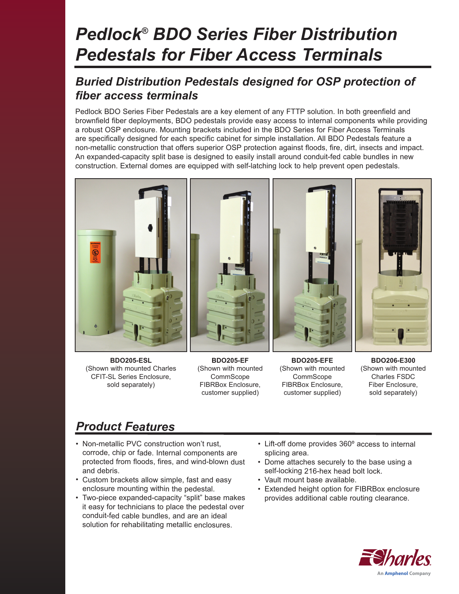# *Pedlock® BDO Series Fiber Distribution Pedestals for Fiber Access Terminals*

### *Buried Distribution Pedestals designed for OSP protection of fiber access terminals*

Pedlock BDO Series Fiber Pedestals are a key element of any FTTP solution. In both greenfield and brownfield fiber deployments, BDO pedestals provide easy access to internal components while providing a robust OSP enclosure. Mounting brackets included in the BDO Series for Fiber Access Terminals are specifically designed for each specific cabinet for simple installation. All BDO Pedestals feature a non-metallic construction that offers superior OSP protection against floods, fire, dirt, insects and impact. An expanded-capacity split base is designed to easily install around conduit-fed cable bundles in new construction. External domes are equipped with self-latching lock to help prevent open pedestals.



**BDO205-ESL** (Shown with mounted Charles CFIT-SL Series Enclosure, sold separately)

**BDO205-EF** (Shown with mounted **CommScope** FIBRBox Enclosure, customer supplied)

**BDO205-EFE** (Shown with mounted **CommScope** FIBRBox Enclosure, customer supplied)

**BDO206-E300** (Shown with mounted Charles FSDC Fiber Enclosure, sold separately)

### *Product Features*

- Non-metallic PVC construction won't rust, corrode, chip or fade. Internal components are protected from floods, fires, and wind-blown dust and debris.
- Custom brackets allow simple, fast and easy enclosure mounting within the pedestal.
- Two-piece expanded-capacity "split" base makes it easy for technicians to place the pedestal over conduit-fed cable bundles, and are an ideal solution for rehabilitating metallic enclosures.
- Lift-off dome provides 360º access to internal splicing area.
- Dome attaches securely to the base using a self-locking 216-hex head bolt lock.
- Vault mount base available.
- Extended height option for FIBRBox enclosure provides additional cable routing clearance.